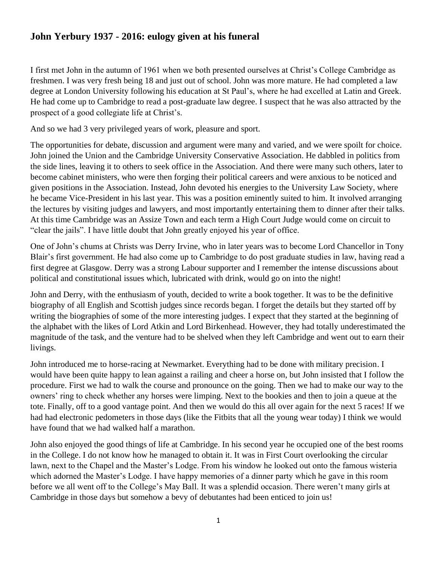## **John Yerbury 1937 - 2016: eulogy given at his funeral**

I first met John in the autumn of 1961 when we both presented ourselves at Christ's College Cambridge as freshmen. I was very fresh being 18 and just out of school. John was more mature. He had completed a law degree at London University following his education at St Paul's, where he had excelled at Latin and Greek. He had come up to Cambridge to read a post-graduate law degree. I suspect that he was also attracted by the prospect of a good collegiate life at Christ's.

And so we had 3 very privileged years of work, pleasure and sport.

The opportunities for debate, discussion and argument were many and varied, and we were spoilt for choice. John joined the Union and the Cambridge University Conservative Association. He dabbled in politics from the side lines, leaving it to others to seek office in the Association. And there were many such others, later to become cabinet ministers, who were then forging their political careers and were anxious to be noticed and given positions in the Association. Instead, John devoted his energies to the University Law Society, where he became Vice-President in his last year. This was a position eminently suited to him. It involved arranging the lectures by visiting judges and lawyers, and most importantly entertaining them to dinner after their talks. At this time Cambridge was an Assize Town and each term a High Court Judge would come on circuit to "clear the jails". I have little doubt that John greatly enjoyed his year of office.

One of John's chums at Christs was Derry Irvine, who in later years was to become Lord Chancellor in Tony Blair's first government. He had also come up to Cambridge to do post graduate studies in law, having read a first degree at Glasgow. Derry was a strong Labour supporter and I remember the intense discussions about political and constitutional issues which, lubricated with drink, would go on into the night!

John and Derry, with the enthusiasm of youth, decided to write a book together. It was to be the definitive biography of all English and Scottish judges since records began. I forget the details but they started off by writing the biographies of some of the more interesting judges. I expect that they started at the beginning of the alphabet with the likes of Lord Atkin and Lord Birkenhead. However, they had totally underestimated the magnitude of the task, and the venture had to be shelved when they left Cambridge and went out to earn their livings.

John introduced me to horse-racing at Newmarket. Everything had to be done with military precision. I would have been quite happy to lean against a railing and cheer a horse on, but John insisted that I follow the procedure. First we had to walk the course and pronounce on the going. Then we had to make our way to the owners' ring to check whether any horses were limping. Next to the bookies and then to join a queue at the tote. Finally, off to a good vantage point. And then we would do this all over again for the next 5 races! If we had had electronic pedometers in those days (like the Fitbits that all the young wear today) I think we would have found that we had walked half a marathon.

John also enjoyed the good things of life at Cambridge. In his second year he occupied one of the best rooms in the College. I do not know how he managed to obtain it. It was in First Court overlooking the circular lawn, next to the Chapel and the Master's Lodge. From his window he looked out onto the famous wisteria which adorned the Master's Lodge. I have happy memories of a dinner party which he gave in this room before we all went off to the College's May Ball. It was a splendid occasion. There weren't many girls at Cambridge in those days but somehow a bevy of debutantes had been enticed to join us!